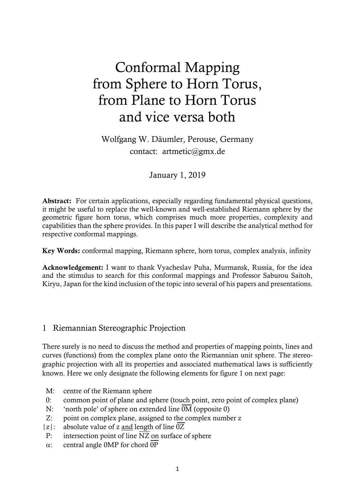# Conformal Mapping from Sphere to Horn Torus, from Plane to Horn Torus and vice versa both

Wolfgang W. Däumler, Perouse, Germany contact: artmetic@gmx.de

January 1, 2019

Abstract: For certain applications, especially regarding fundamental physical questions, it might be useful to replace the well-known and well-established Riemann sphere by the geometric figure horn torus, which comprises much more properties, complexity and capabilities than the sphere provides. In this paper I will describe the analytical method for respective conformal mappings.

Key Words: conformal mapping, Riemann sphere, horn torus, complex analysis, infinity

Acknowledgement: I want to thank Vyacheslav Puha, Murmansk, Russia, for the idea and the stimulus to search for this conformal mappings and Professor Saburou Saitoh, Kiryu, Japan for the kind inclusion of the topic into several of his papers and presentations.

## 1 Riemannian Stereographic Projection

There surely is no need to discuss the method and properties of mapping points, lines and curves (functions) from the complex plane onto the Riemannian unit sphere. The stereographic projection with all its properties and associated mathematical laws is sufficiently known. Here we only designate the following elements for figure 1 on next page:

- M: centre of the Riemann sphere
- 0: common point of plane and sphere (touch point, zero point of complex plane)
- N: 'north pole' of sphere on extended line  $\overline{OM}$  (opposite 0)
- Z: point on complex plane, assigned to the complex number z
- |z|: absolute value of z and length of line  $\overline{0Z}$
- P: intersection point of line  $\overline{NZ}$  on surface of sphere
- $\alpha$ : central angle 0MP for chord  $\overline{OP}$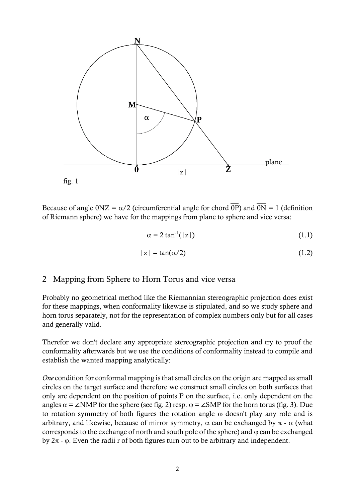

Because of angle  $0NZ = \alpha/2$  (circumferential angle for chord  $\overline{OP}$ ) and  $\overline{ON} = 1$  (definition of Riemann sphere) we have for the mappings from plane to sphere and vice versa:

$$
\alpha = 2 \tan^{-1}(|z|) \tag{1.1}
$$

$$
|z| = \tan(\alpha/2) \tag{1.2}
$$

#### 2 Mapping from Sphere to Horn Torus and vice versa

Probably no geometrical method like the Riemannian stereographic projection does exist for these mappings, when conformality likewise is stipulated, and so we study sphere and horn torus separately, not for the representation of complex numbers only but for all cases and generally valid.

Therefor we don't declare any appropriate stereographic projection and try to proof the conformality afterwards but we use the conditions of conformality instead to compile and establish the wanted mapping analytically:

*One* condition for conformal mapping is that small circles on the origin are mapped as small circles on the target surface and therefore we construct small circles on both surfaces that only are dependent on the position of points P on the surface, i.e. only dependent on the angles  $\alpha = \angle NMP$  for the sphere (see fig. 2) resp.  $\varphi = \angle SMP$  for the horn torus (fig. 3). Due to rotation symmetry of both figures the rotation angle  $\omega$  doesn't play any role and is arbitrary, and likewise, because of mirror symmetry,  $\alpha$  can be exchanged by  $\pi$  -  $\alpha$  (what corresponds to the exchange of north and south pole of the sphere) and  $\varphi$  can be exchanged by  $2\pi$  -  $\varphi$ . Even the radii r of both figures turn out to be arbitrary and independent.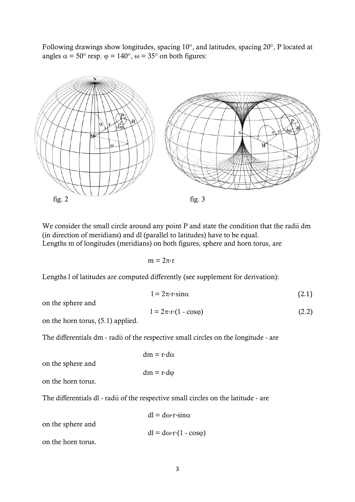Following drawings show longitudes, spacing 10°, and latitudes, spacing 20°, P located at angles  $\alpha = 50^{\circ}$  resp.  $\varphi = 140^{\circ}$ ,  $\omega = 35^{\circ}$  on both figures:



We consider the small circle around any point P and state the condition that the radii dm (in direction of meridians) and dl (parallel to latitudes) have to be equal. Lengths m of longitudes (meridians) on both figures, sphere and horn torus, are

 $m = 2\pi r$ 

Lengths l of latitudes are computed differently (see supplement for derivation):

on the sphere and

$$
1 = 2\pi \cdot \mathbf{r} \cdot (1 - \cos \varphi) \tag{2.2}
$$

 $l = 2\pi \cdot r \cdot \sin \alpha$  (2.1)

on the horn torus, (5.1) applied.

The differentials dm - radii of the respective small circles on the longitude - are

$$
dm = r \cdot d\alpha
$$

 $dm = r \cdot d\varphi$ 

on the sphere and

on the horn torus.

The differentials dl - radii of the respective small circles on the latitude - are

on the sphere and

 $dl = d\omega r \cdot \sin \alpha$ 

 $dl = d\omega \cdot r \cdot (1 - \cos\varphi)$ 

on the horn torus.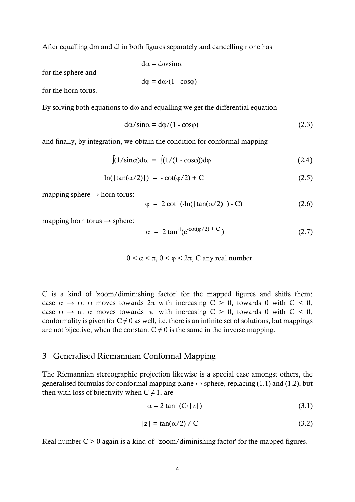After equalling dm and dl in both figures separately and cancelling r one has

$$
d\alpha = d\omega \cdot \sin \alpha
$$

for the sphere and

$$
d\varphi = d\omega (1 - \cos \varphi)
$$

for the horn torus.

By solving both equations to d $\omega$  and equalling we get the differential equation

$$
d\alpha/\sin\alpha = d\varphi/(1 - \cos\varphi) \tag{2.3}
$$

and finally, by integration, we obtain the condition for conformal mapping

$$
\int (1/\sin \alpha) d\alpha = \int (1/(1 - \cos \varphi)) d\varphi
$$
 (2.4)

$$
\ln(|\tan(\alpha/2)|) = -\cot(\varphi/2) + C \tag{2.5}
$$

mapping sphere  $\rightarrow$  horn torus:

$$
\varphi = 2 \cot^{-1} \left( -\ln \left( \left| \tan(\alpha/2) \right| \right) - C \right) \tag{2.6}
$$

mapping horn torus  $\rightarrow$  sphere:

$$
\alpha = 2 \tan^{-1}(e^{-\cot(\varphi/2) + C})
$$
 (2.7)

$$
0 < \alpha < \pi
$$
,  $0 < \varphi < 2\pi$ , C any real number

C is a kind of 'zoom/diminishing factor' for the mapped figures and shifts them: case  $\alpha \rightarrow \varphi$ :  $\varphi$  moves towards  $2\pi$  with increasing  $C > 0$ , towards 0 with  $C < 0$ , case  $\varphi \to \alpha$ :  $\alpha$  moves towards  $\pi$  with increasing  $C > 0$ , towards 0 with  $C < 0$ , conformality is given for  $C \neq 0$  as well, i.e. there is an infinite set of solutions, but mappings are not bijective, when the constant  $C \neq 0$  is the same in the inverse mapping.

## 3 Generalised Riemannian Conformal Mapping

The Riemannian stereographic projection likewise is a special case amongst others, the generalised formulas for conformal mapping plane  $\leftrightarrow$  sphere, replacing (1.1) and (1.2), but then with loss of bijectivity when  $C \neq 1$ , are

$$
\alpha = 2 \tan^{-1}(C \cdot |z|) \tag{3.1}
$$

$$
|z| = \tan(\alpha/2) / C \tag{3.2}
$$

Real number  $C > 0$  again is a kind of 'zoom/diminishing factor' for the mapped figures.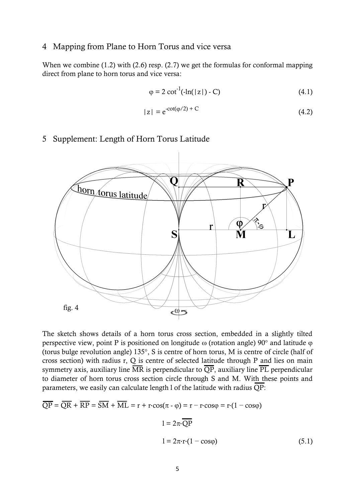### 4 Mapping from Plane to Horn Torus and vice versa

When we combine (1.2) with (2.6) resp. (2.7) we get the formulas for conformal mapping direct from plane to horn torus and vice versa:

$$
\varphi = 2 \cot^{-1}(-\ln(|z|) - C) \tag{4.1}
$$

$$
|z| = e^{-cot(\varphi/2) + C}
$$
\n
$$
(4.2)
$$

### 5 Supplement: Length of Horn Torus Latitude



The sketch shows details of a horn torus cross section, embedded in a slightly tilted perspective view, point P is positioned on longitude  $\omega$  (rotation angle) 90 $^{\circ}$  and latitude  $\varphi$ (torus bulge revolution angle) 135°, S is centre of horn torus, M is centre of circle (half of cross section) with radius r, Q is centre of selected latitude through P and lies on main symmetry axis, auxiliary line  $\overline{\text{MR}}$  is perpendicular to  $\overline{\text{QP}}$ , auxiliary line  $\overline{\text{PL}}$  perpendicular to diameter of horn torus cross section circle through S and M. With these points and parameters, we easily can calculate length l of the latitude with radius QP:

$$
\overline{QP} = \overline{QR} + \overline{RP} = \overline{SM} + \overline{ML} = r + r \cdot \cos(\pi - \varphi) = r - r \cdot \cos\varphi = r \cdot (1 - \cos\varphi)
$$

$$
1 = 2\pi \cdot \overline{QP}
$$

$$
1 = 2\pi \cdot r \cdot (1 - \cos\varphi) \tag{5.1}
$$